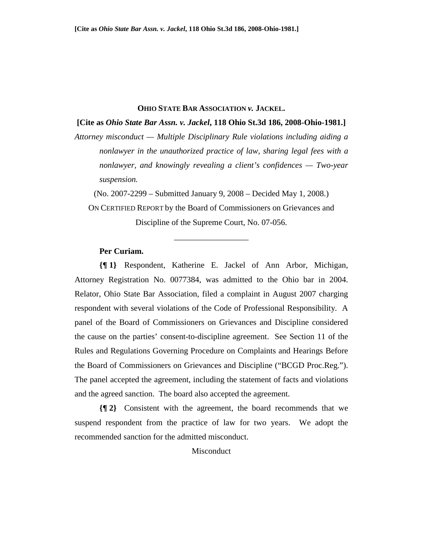#### **OHIO STATE BAR ASSOCIATION** *v.* **JACKEL.**

### **[Cite as** *Ohio State Bar Assn. v. Jackel***, 118 Ohio St.3d 186, 2008-Ohio-1981.]**

*Attorney misconduct — Multiple Disciplinary Rule violations including aiding a nonlawyer in the unauthorized practice of law, sharing legal fees with a nonlawyer, and knowingly revealing a client's confidences — Two-year suspension.*

(No. 2007-2299 – Submitted January 9, 2008 – Decided May 1, 2008.)

ON CERTIFIED REPORT by the Board of Commissioners on Grievances and Discipline of the Supreme Court, No. 07-056.

\_\_\_\_\_\_\_\_\_\_\_\_\_\_\_\_\_\_

# **Per Curiam.**

**{¶ 1}** Respondent, Katherine E. Jackel of Ann Arbor, Michigan, Attorney Registration No. 0077384, was admitted to the Ohio bar in 2004. Relator, Ohio State Bar Association, filed a complaint in August 2007 charging respondent with several violations of the Code of Professional Responsibility. A panel of the Board of Commissioners on Grievances and Discipline considered the cause on the parties' consent-to-discipline agreement. See Section 11 of the Rules and Regulations Governing Procedure on Complaints and Hearings Before the Board of Commissioners on Grievances and Discipline ("BCGD Proc.Reg."). The panel accepted the agreement, including the statement of facts and violations and the agreed sanction. The board also accepted the agreement.

**{¶ 2}** Consistent with the agreement, the board recommends that we suspend respondent from the practice of law for two years. We adopt the recommended sanction for the admitted misconduct.

Misconduct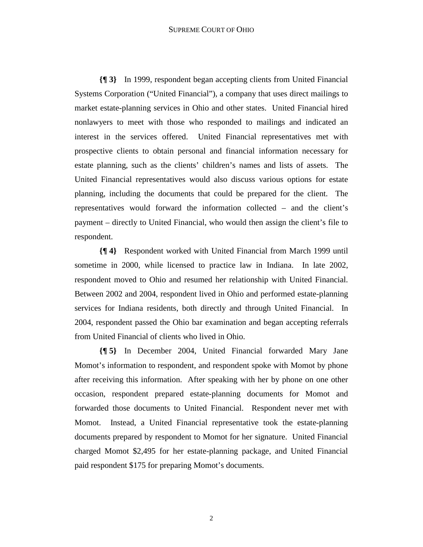### SUPREME COURT OF OHIO

**{¶ 3}** In 1999, respondent began accepting clients from United Financial Systems Corporation ("United Financial"), a company that uses direct mailings to market estate-planning services in Ohio and other states. United Financial hired nonlawyers to meet with those who responded to mailings and indicated an interest in the services offered. United Financial representatives met with prospective clients to obtain personal and financial information necessary for estate planning, such as the clients' children's names and lists of assets. The United Financial representatives would also discuss various options for estate planning, including the documents that could be prepared for the client. The representatives would forward the information collected – and the client's payment – directly to United Financial, who would then assign the client's file to respondent.

**{¶ 4}** Respondent worked with United Financial from March 1999 until sometime in 2000, while licensed to practice law in Indiana. In late 2002, respondent moved to Ohio and resumed her relationship with United Financial. Between 2002 and 2004, respondent lived in Ohio and performed estate-planning services for Indiana residents, both directly and through United Financial. In 2004, respondent passed the Ohio bar examination and began accepting referrals from United Financial of clients who lived in Ohio.

**{¶ 5}** In December 2004, United Financial forwarded Mary Jane Momot's information to respondent, and respondent spoke with Momot by phone after receiving this information. After speaking with her by phone on one other occasion, respondent prepared estate-planning documents for Momot and forwarded those documents to United Financial. Respondent never met with Momot. Instead, a United Financial representative took the estate-planning documents prepared by respondent to Momot for her signature. United Financial charged Momot \$2,495 for her estate-planning package, and United Financial paid respondent \$175 for preparing Momot's documents.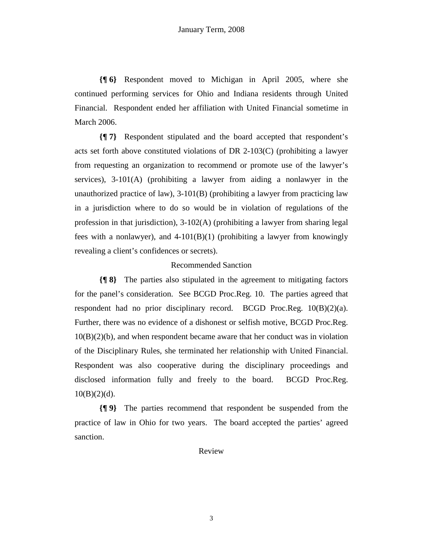**{¶ 6}** Respondent moved to Michigan in April 2005, where she continued performing services for Ohio and Indiana residents through United Financial. Respondent ended her affiliation with United Financial sometime in March 2006.

**{¶ 7}** Respondent stipulated and the board accepted that respondent's acts set forth above constituted violations of DR 2-103(C) (prohibiting a lawyer from requesting an organization to recommend or promote use of the lawyer's services), 3-101(A) (prohibiting a lawyer from aiding a nonlawyer in the unauthorized practice of law), 3-101(B) (prohibiting a lawyer from practicing law in a jurisdiction where to do so would be in violation of regulations of the profession in that jurisdiction),  $3-102(A)$  (prohibiting a lawyer from sharing legal fees with a nonlawyer), and  $4-101(B)(1)$  (prohibiting a lawyer from knowingly revealing a client's confidences or secrets).

## Recommended Sanction

**{¶ 8}** The parties also stipulated in the agreement to mitigating factors for the panel's consideration. See BCGD Proc.Reg. 10. The parties agreed that respondent had no prior disciplinary record. BCGD Proc.Reg.  $10(B)(2)(a)$ . Further, there was no evidence of a dishonest or selfish motive, BCGD Proc.Reg.  $10(B)(2)(b)$ , and when respondent became aware that her conduct was in violation of the Disciplinary Rules, she terminated her relationship with United Financial. Respondent was also cooperative during the disciplinary proceedings and disclosed information fully and freely to the board. BCGD Proc.Reg.  $10(B)(2)(d)$ .

**{¶ 9}** The parties recommend that respondent be suspended from the practice of law in Ohio for two years. The board accepted the parties' agreed sanction.

Review